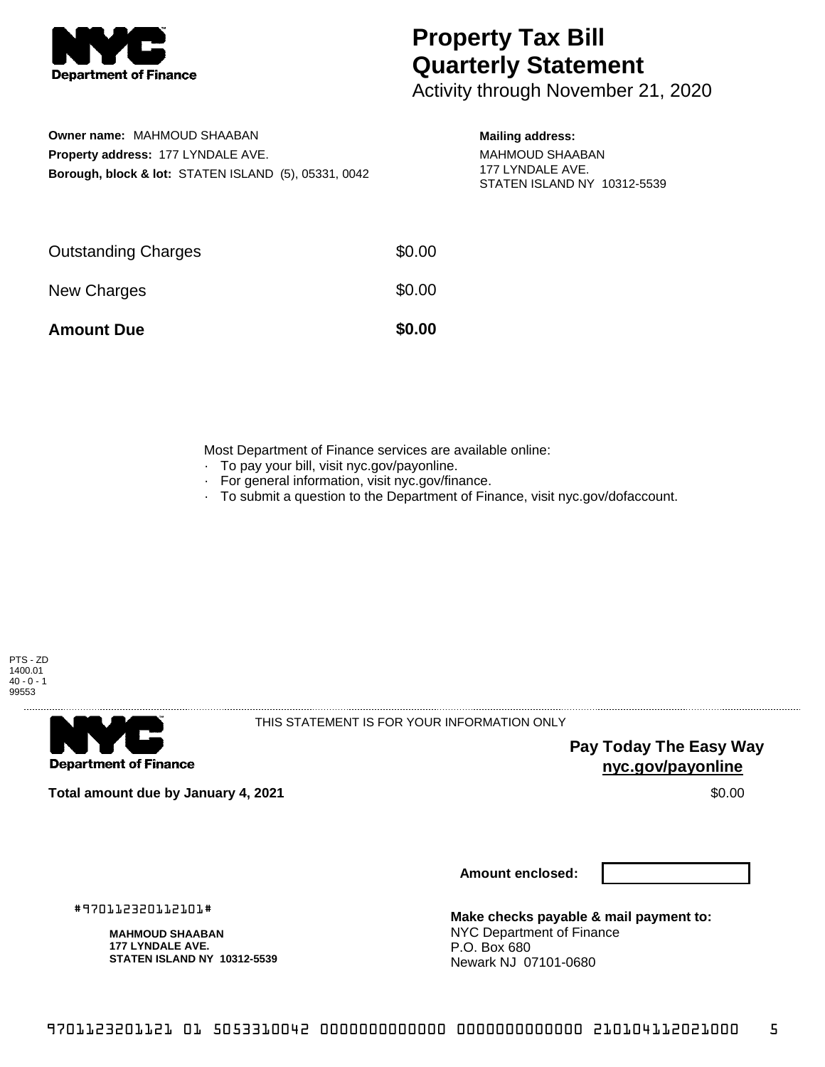

# **Property Tax Bill Quarterly Statement**

Activity through November 21, 2020

## **Owner name:** MAHMOUD SHAABAN **Property address:** 177 LYNDALE AVE. **Borough, block & lot:** STATEN ISLAND (5), 05331, 0042

### **Mailing address:**

MAHMOUD SHAABAN 177 LYNDALE AVE. STATEN ISLAND NY 10312-5539

| <b>Amount Due</b>          | \$0.00 |
|----------------------------|--------|
| New Charges                | \$0.00 |
| <b>Outstanding Charges</b> | \$0.00 |

Most Department of Finance services are available online:

- · To pay your bill, visit nyc.gov/payonline.
- For general information, visit nyc.gov/finance.
- · To submit a question to the Department of Finance, visit nyc.gov/dofaccount.





THIS STATEMENT IS FOR YOUR INFORMATION ONLY

**Pay Today The Easy Way nyc.gov/payonline**

**Total amount due by January 4, 2021** \$0.00

**Amount enclosed:**

#970112320112101#

**MAHMOUD SHAABAN 177 LYNDALE AVE. STATEN ISLAND NY 10312-5539**

**Make checks payable & mail payment to:** NYC Department of Finance P.O. Box 680 Newark NJ 07101-0680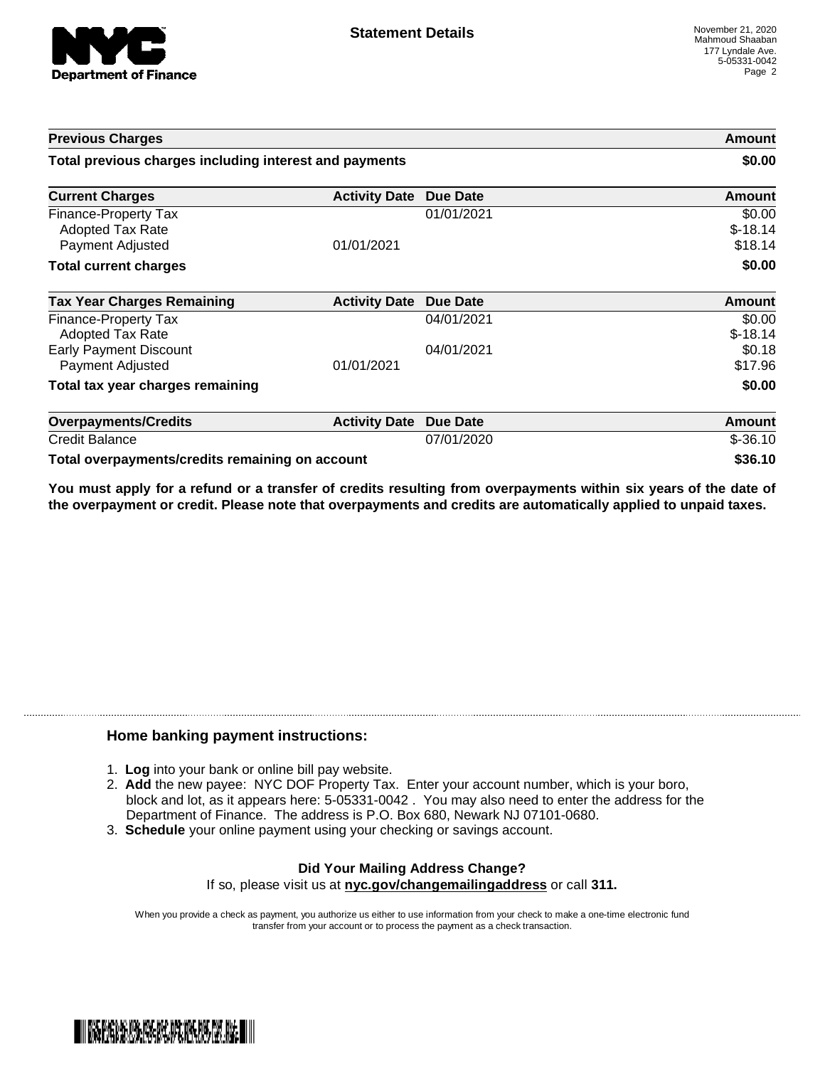

| <b>Previous Charges</b>                                      |                               | Amount<br>\$0.00 |                                |
|--------------------------------------------------------------|-------------------------------|------------------|--------------------------------|
| Total previous charges including interest and payments       |                               |                  |                                |
| <b>Current Charges</b>                                       | <b>Activity Date</b>          | <b>Due Date</b>  | Amount                         |
| Finance-Property Tax<br>Adopted Tax Rate<br>Payment Adjusted | 01/01/2021                    | 01/01/2021       | \$0.00<br>$$-18.14$<br>\$18.14 |
| <b>Total current charges</b>                                 |                               |                  | \$0.00                         |
| <b>Tax Year Charges Remaining</b>                            | <b>Activity Date Due Date</b> |                  | <b>Amount</b>                  |
| <b>Finance-Property Tax</b><br><b>Adopted Tax Rate</b>       |                               | 04/01/2021       | \$0.00<br>$$-18.14$            |
| <b>Early Payment Discount</b><br>Payment Adjusted            | 01/01/2021                    | 04/01/2021       | \$0.18<br>\$17.96              |
| Total tax year charges remaining                             |                               |                  | \$0.00                         |
| <b>Overpayments/Credits</b>                                  | <b>Activity Date</b>          | <b>Due Date</b>  | <b>Amount</b>                  |
| <b>Credit Balance</b>                                        |                               | 07/01/2020       | $$ -36.10$                     |
| Total overpayments/credits remaining on account              |                               |                  | \$36.10                        |

You must apply for a refund or a transfer of credits resulting from overpayments within six years of the date of **the overpayment or credit. Please note that overpayments and credits are automatically applied to unpaid taxes.**

### **Home banking payment instructions:**

- 1. **Log** into your bank or online bill pay website.
- 2. **Add** the new payee: NYC DOF Property Tax. Enter your account number, which is your boro, block and lot, as it appears here: 5-05331-0042 . You may also need to enter the address for the Department of Finance. The address is P.O. Box 680, Newark NJ 07101-0680.
- 3. **Schedule** your online payment using your checking or savings account.

#### **Did Your Mailing Address Change?** If so, please visit us at **nyc.gov/changemailingaddress** or call **311.**

When you provide a check as payment, you authorize us either to use information from your check to make a one-time electronic fund transfer from your account or to process the payment as a check transaction.